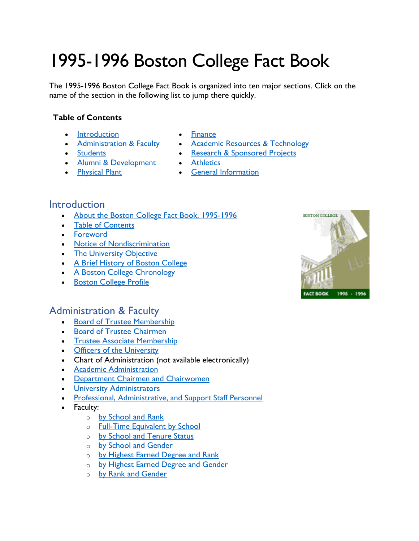# 1995-1996 Boston College Fact Book

The 1995-1996 Boston College Fact Book is organized into ten major sections. Click on the name of the section in the following list to jump there quickly.

#### **Table of Contents**

- [Introduction](#page-0-0)
- [Administration & Faculty](#page-0-1)
- [Students](#page-1-0)
- [Alumni & Development](#page-2-0)
- [Physical Plant](#page-2-1)
- [Finance](#page-2-2)
- [Academic Resources & Technology](#page-2-3)
- [Research & Sponsored Projects](#page-3-0)
- [Athletics](#page-3-1)
- [General Information](#page-4-0)

## <span id="page-0-0"></span>**Introduction**

- [About the Boston College Fact Book, 1995-1996](https://www.bc.edu/content/dam/files/publications/factbook/txt/FB96About_FB96.txt)
- [Table of Contents](https://www.bc.edu/content/dam/files/publications/factbook/txt/FB96TOC.txt)
- [Foreword](https://www.bc.edu/content/dam/files/publications/factbook/txt/FB96Forward.txt)
- [Notice of Nondiscrimination](https://www.bc.edu/content/dam/files/publications/factbook/txt/FB96Nondiscrim.txt)
- [The University Objective](https://www.bc.edu/content/dam/files/publications/factbook/txt/FB96Object.txt)
- [A Brief History of Boston College](https://www.bc.edu/content/dam/files/publications/factbook/txt/FB96BC_History.txt)
- [A Boston College Chronology](https://www.bc.edu/content/dam/files/publications/factbook/txt/FB96BC_Chron.txt)
- [Boston College Profile](https://www.bc.edu/content/dam/files/publications/factbook/txt/FB96BC_Profile.txt)



## <span id="page-0-1"></span>Administration & Faculty

- [Board of Trustee Membership](https://www.bc.edu/content/dam/files/publications/factbook/txt/FB96Trustee_List.txt)
- [Board of Trustee Chairmen](https://www.bc.edu/content/dam/files/publications/factbook/txt/FB96Trustee_Chairs.txt)
- **[Trustee Associate Membership](https://www.bc.edu/content/dam/files/publications/factbook/txt/FB96Trustee_Assoc.txt)**
- [Officers of the University](https://www.bc.edu/content/dam/files/publications/factbook/txt/FB96Univ_Officers.txt)
- Chart of Administration (not available electronically)
- [Academic Administration](https://www.bc.edu/content/dam/files/publications/factbook/txt/FB96Aca_Admin.txt)
- [Department Chairmen and Chairwomen](https://www.bc.edu/content/dam/files/publications/factbook/txt/FB96Dept_Chairs.txt)
- [University Administrators](https://www.bc.edu/content/dam/files/publications/factbook/txt/FB96Univ_Admin.txt)
- [Professional, Administrative, and Support Staff Personnel](https://www.bc.edu/content/dam/files/publications/factbook/txt/FB96Staff_Stats.txt)
- Faculty:
	- o [by School and Rank](https://www.bc.edu/content/dam/files/publications/factbook/txt/FB96Fac_Sch_Rank.txt)
	- o [Full-Time Equivalent by School](https://www.bc.edu/content/dam/files/publications/factbook/txt/FB96FTE_Fac.txt)
	- o [by School and Tenure Status](https://www.bc.edu/content/dam/files/publications/factbook/txt/FB96Fac_Sch_Ten.txt)
	- o [by School and Gender](https://www.bc.edu/content/dam/files/publications/factbook/txt/FB96Fac_Sch_Gen.txt)
	- o [by Highest Earned Degree and Rank](https://www.bc.edu/content/dam/files/publications/factbook/txt/FB96Fac_Dgr_Rank.txt)
	- o [by Highest Earned Degree and Gender](https://www.bc.edu/content/dam/files/publications/factbook/txt/FB96Fac_Dgr_Gen.txt)
	- o [by Rank and Gender](https://www.bc.edu/content/dam/files/publications/factbook/txt/FB96Fac_Rank_Gen.txt)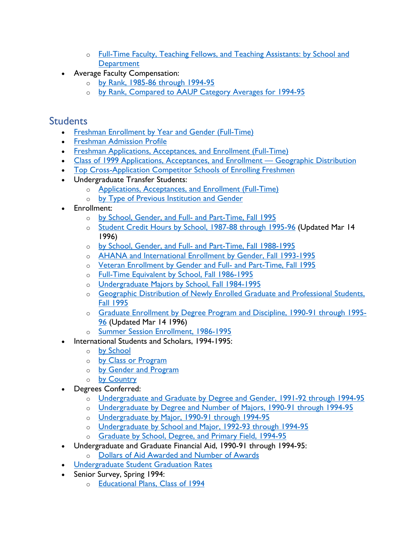- o [Full-Time Faculty, Teaching Fellows, and Teaching Assistants: by School and](https://www.bc.edu/content/dam/files/publications/factbook/txt/FB96Fac_TF_TA.txt)  **[Department](https://www.bc.edu/content/dam/files/publications/factbook/txt/FB96Fac_TF_TA.txt)**
- Average Faculty Compensation:
	- o [by Rank, 1985-86 through 1994-95](https://www.bc.edu/content/dam/files/publications/factbook/txt/FB96Fac_Comptn_10yrs.txt)
	- o [by Rank, Compared to AAUP Category Averages for 1994-95](https://www.bc.edu/content/dam/files/publications/factbook/txt/FB96Fac_Comptn_AAUP.txt)

## <span id="page-1-0"></span>**Students**

- [Freshman Enrollment by Year and Gender \(Full-Time\)](https://www.bc.edu/content/dam/files/publications/factbook/txt/FB96FT_Fresh_Enroll.txt)
- [Freshman Admission Profile](https://www.bc.edu/content/dam/files/publications/factbook/txt/FB96Fresh_Admiss_Prof.txt)
- [Freshman Applications, Acceptances, and Enrollment \(Full-Time\)](https://www.bc.edu/content/dam/files/publications/factbook/txt/FB96Fresh_App_Acpt_Enr.txt)
- [Class of 1999 Applications, Acceptances, and Enrollment Geographic Distribution](https://www.bc.edu/content/dam/files/publications/factbook/txt/FB96Fresh_Apps_Geogr.txt)
- [Top Cross-Application Competitor Schools of Enrolling Freshmen](https://www.bc.edu/content/dam/files/publications/factbook/txt/FB96Top_Competitors.txt)
- Undergraduate Transfer Students:
	- o [Applications, Acceptances, and Enrollment \(Full-Time\)](https://www.bc.edu/content/dam/files/publications/factbook/txt/FB96Transfer_Apps_Acpt.txt)
	- o [by Type of Previous Institution and Gender](https://www.bc.edu/content/dam/files/publications/factbook/txt/FB96Transfer_Enr_Srce.txt)
- Enrollment:
	- o [by School, Gender, and Full- and Part-Time, Fall 1995](https://www.bc.edu/content/dam/files/publications/factbook/txt/FB96Enrolmt_F95.txt)
	- o [Student Credit Hours by School, 1987-88 through 1995-96](https://www.bc.edu/content/dam/files/publications/factbook/txt/FB96Student_Credit_Hrs.txt) (Updated Mar 14 1996)
	- o [by School, Gender, and Full- and Part-Time, Fall 1988-1995](https://www.bc.edu/content/dam/files/publications/factbook/txt/FB96Enroll88-95.txt)
	- o [AHANA and International Enrollment by Gender, Fall 1993-1995](https://www.bc.edu/content/dam/files/publications/factbook/txt/FB96AHANA_Internl.txt)
	- o [Veteran Enrollment by Gender and Full- and Part-Time, Fall 1995](https://www.bc.edu/content/dam/files/publications/factbook/txt/FB96Vet_Enrollmt.txt)
	- o [Full-Time Equivalent by School, Fall 1986-1995](https://www.bc.edu/content/dam/files/publications/factbook/txt/FB96FTE_Enroll_86-95.txt)
	- o [Undergraduate Majors by School, Fall 1984-1995](https://www.bc.edu/content/dam/files/publications/factbook/txt/FB96UnderG_Majors.txt)
	- o [Geographic Distribution of Newly Enrolled Graduate and Professional Students,](https://www.bc.edu/content/dam/files/publications/factbook/txt/FB96Grad_Stud_Geogr.txt)  [Fall 1995](https://www.bc.edu/content/dam/files/publications/factbook/txt/FB96Grad_Stud_Geogr.txt)
	- o [Graduate Enrollment by Degree Program and Discipline, 1990-91 through 1995-](https://www.bc.edu/content/dam/files/publications/factbook/txt/FB96Grad_Enroll.txt) [96](https://www.bc.edu/content/dam/files/publications/factbook/txt/FB96Grad_Enroll.txt) (Updated Mar 14 1996)
	- o [Summer Session Enrollment, 1986-1995](https://www.bc.edu/content/dam/files/publications/factbook/txt/FB96Summer_Enr.txt)
- International Students and Scholars, 1994-1995:
	- o [by School](https://www.bc.edu/content/dam/files/publications/factbook/txt/FB96Internatl_by_Schl.txt)
	- o [by Class or Program](https://www.bc.edu/content/dam/files/publications/factbook/txt/FB96Internatl_by_Class.txt)
	- o [by Gender and Program](https://www.bc.edu/content/dam/files/publications/factbook/txt/FB96Internatl_by_Gendr.txt)
	- o [by Country](https://www.bc.edu/content/dam/files/publications/factbook/txt/FB96Internatl_by_Cntry.txt)
- Degrees Conferred:
	- o [Undergraduate and Graduate by Degree and Gender, 1991-92 through 1994-95](https://www.bc.edu/content/dam/files/publications/factbook/txt/FB96Dgrs_Gndr.txt)
	- o [Undergraduate by Degree and Number of Majors, 1990-91 through 1994-95](https://www.bc.edu/content/dam/files/publications/factbook/txt/FB96UG_Dgr_Num_Maj.txt)
	- o [Undergraduate by Major, 1990-91 through 1994-95](https://www.bc.edu/content/dam/files/publications/factbook/txt/FB96UG_Dgr_Maj.txt)
	- o [Undergraduate by School and Major, 1992-93 through 1994-95](https://www.bc.edu/content/dam/files/publications/factbook/txt/FB96UDgr_Sch_Maj.txt)
	- o [Graduate by School, Degree, and Primary Field, 1994-95](https://www.bc.edu/content/dam/files/publications/factbook/txt/FB96Grad_Dgrs_94-95.txt)
- Undergraduate and Graduate Financial Aid, 1990-91 through 1994-95:
	- o [Dollars of Aid Awarded and Number of Awards](https://www.bc.edu/content/dam/files/publications/factbook/txt/FB96Fin_Aid.txt)
- [Undergraduate Student Graduation Rates](https://www.bc.edu/content/dam/files/publications/factbook/txt/FB96Grad_Rates.txt)
- Senior Survey, Spring 1994:
	- o [Educational Plans, Class of 1994](https://www.bc.edu/content/dam/files/publications/factbook/txt/FB96Dgr_Plans.txt)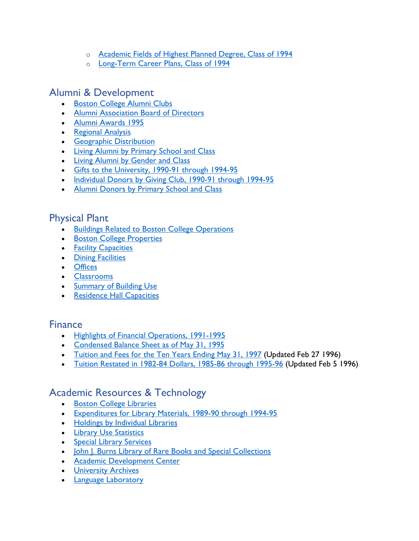- o [Academic Fields of Highest Planned Degree, Class of 1994](https://www.bc.edu/content/dam/files/publications/factbook/txt/FB96Field_Plans.txt)
- o [Long-Term Career Plans, Class of 1994](https://www.bc.edu/content/dam/files/publications/factbook/txt/FB96Career_Plans.txt)

## <span id="page-2-0"></span>Alumni & Development

- [Boston College Alumni Clubs](https://www.bc.edu/content/dam/files/publications/factbook/txt/FB96Alum_Clubs.txt)
- [Alumni Association Board of Directors](https://www.bc.edu/content/dam/files/publications/factbook/txt/FB96Alum_BofD.txt)
- [Alumni Awards 1995](https://www.bc.edu/content/dam/files/publications/factbook/txt/FB96Alum_Awards.txt)
- [Regional Analysis](https://www.bc.edu/content/dam/files/publications/factbook/txt/FB96Alum_Regnl_Anal.txt)
- [Geographic Distribution](https://www.bc.edu/content/dam/files/publications/factbook/txt/FB96Alum_Geogr_Dist.txt)
- [Living Alumni by Primary School and Class](https://www.bc.edu/content/dam/files/publications/factbook/txt/FB96Alum_Sch.txt)
- [Living Alumni by Gender and Class](https://www.bc.edu/content/dam/files/publications/factbook/txt/FB96Alum_Gender.txt)
- [Gifts to the University, 1990-91 through 1994-95](https://www.bc.edu/content/dam/files/publications/factbook/txt/FB96Private_Gifts.txt)
- [Individual Donors by Giving Club, 1990-91 through 1994-95](https://www.bc.edu/content/dam/files/publications/factbook/txt/FB96Donors_by_Club.txt)
- [Alumni Donors by Primary School and Class](https://www.bc.edu/content/dam/files/publications/factbook/txt/FB96Alum_Donors.txt)

## <span id="page-2-1"></span>Physical Plant

- [Buildings Related to Boston College Operations](https://www.bc.edu/content/dam/files/publications/factbook/txt/FB96Buildings.txt)
- [Boston College Properties](https://www.bc.edu/content/dam/files/publications/factbook/txt/FB96Properties.txt)
- [Facility Capacities](https://www.bc.edu/content/dam/files/publications/factbook/txt/FB96Facility_Cap.txt)
- [Dining Facilities](https://www.bc.edu/content/dam/files/publications/factbook/txt/FB96Dining_Fac.txt)
- [Offices](https://www.bc.edu/content/dam/files/publications/factbook/txt/FB96Offices.txt)
- [Classrooms](https://www.bc.edu/content/dam/files/publications/factbook/txt/FB96Classrooms.txt)
- [Summary of Building Use](https://www.bc.edu/content/dam/files/publications/factbook/txt/FB96Bldg_Use.txt)
- [Residence Hall Capacities](https://www.bc.edu/content/dam/files/publications/factbook/txt/FB96Dorm_Cap.txt)

#### <span id="page-2-2"></span>Finance

- [Highlights of Financial Operations, 1991-1995](https://www.bc.edu/content/dam/files/publications/factbook/txt/FB96Fin_Highlts.txt)
- [Condensed Balance Sheet as of May 31, 1995](https://www.bc.edu/content/dam/files/publications/factbook/txt/FB96Bal_Sheet.txt)
- [Tuition and Fees for the Ten Years Ending May 31, 1997](https://www.bc.edu/content/dam/files/publications/factbook/txt/FB96Tuition_Fees.txt) (Updated Feb 27 1996)
- [Tuition Restated in 1982-84 Dollars, 1985-86 through 1995-96](https://www.bc.edu/content/dam/files/publications/factbook/txt/FB96Tuition_82-84%24s.txt) (Updated Feb 5 1996)

## <span id="page-2-3"></span>Academic Resources & Technology

- [Boston College Libraries](https://www.bc.edu/content/dam/files/publications/factbook/txt/FB96BC_Libraries.txt)
- [Expenditures for Library Materials, 1989-90 through 1994-95](https://www.bc.edu/content/dam/files/publications/factbook/txt/FB96Libr_Exp.txt)
- [Holdings by Individual Libraries](https://www.bc.edu/content/dam/files/publications/factbook/txt/FB96Libr_Holdgs.txt)
- [Library Use Statistics](https://www.bc.edu/content/dam/files/publications/factbook/txt/FB96Libr_Use.txt)
- [Special Library Services](https://www.bc.edu/content/dam/files/publications/factbook/txt/FB96Spec_Libr_Serv.txt)
- [John J. Burns Library of Rare Books and Special Collections](https://www.bc.edu/content/dam/files/publications/factbook/txt/FB96Burns_Libr.txt)
- [Academic Development Center](https://www.bc.edu/content/dam/files/publications/factbook/txt/FB96Acad_Dev_Ctr.txt)
- [University Archives](https://www.bc.edu/content/dam/files/publications/factbook/txt/FB96Archives.txt)
- **[Language Laboratory](https://www.bc.edu/content/dam/files/publications/factbook/txt/FB96Lang_Lab.txt)**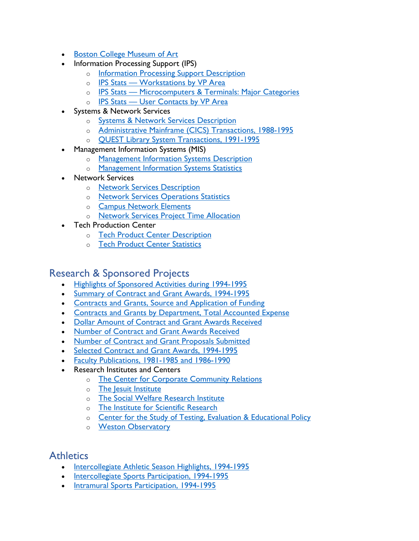- [Boston College Museum of Art](https://www.bc.edu/content/dam/files/publications/factbook/txt/FB96Museum_Art.txt)
- Information Processing Support (IPS)
	- o [Information Processing Support Description](https://www.bc.edu/content/dam/files/publications/factbook/txt/FB96IPS_Desc.txt)
	- o **[IPS Stats Workstations by VP Area](https://www.bc.edu/content/dam/files/publications/factbook/txt/FB96IPS_Wkrst_VP.txt)**
	- o [IPS Stats Microcomputers & Terminals: Major Categories](https://www.bc.edu/content/dam/files/publications/factbook/txt/FB96MicroTermStats.txt)
	- o [IPS Stats User Contacts by VP Area](https://www.bc.edu/content/dam/files/publications/factbook/txt/FB96IPS_User_Stats.txt)
- Systems & Network Services
	- o [Systems & Network Services Description](https://www.bc.edu/content/dam/files/publications/factbook/txt/FB96Sys_Net_Serv.txt)
	- o [Administrative Mainframe \(CICS\) Transactions, 1988-1995](https://www.bc.edu/content/dam/files/publications/factbook/txt/FB96CICS_Trans.txt)
	- o [QUEST Library System Transactions, 1991-1995](https://www.bc.edu/content/dam/files/publications/factbook/txt/FB96QUEST_Trans.txt)
- Management Information Systems (MIS)
	- o [Management Information Systems Description](https://www.bc.edu/content/dam/files/publications/factbook/txt/FB96MIS_Desc.txt)
	- o [Management Information Systems Statistics](https://www.bc.edu/content/dam/files/publications/factbook/txt/FB96MIS_Stats.txt)
- Network Services
	- o [Network Services Description](https://www.bc.edu/content/dam/files/publications/factbook/txt/FB96NetServ_Desc.txt)
	- o Network [Services Operations Statistics](https://www.bc.edu/content/dam/files/publications/factbook/txt/FB96NetOpStats.txt)
	- o [Campus Network Elements](https://www.bc.edu/content/dam/files/publications/factbook/txt/FB96NetElements.txt)
	- o [Network Services Project Time Allocation](https://www.bc.edu/content/dam/files/publications/factbook/txt/FB96NetServProjAlloc.txt)
- **Tech Production Center** 
	- o [Tech Product Center Description](https://www.bc.edu/content/dam/files/publications/factbook/txt/FB96Tech_Prod_desc.txt)
	- o [Tech Product Center Statistics](https://www.bc.edu/content/dam/files/publications/factbook/txt/FB96Tech_Prod_stats.txt)

#### <span id="page-3-0"></span>Research & Sponsored Projects

- [Highlights of Sponsored Activities during 1994-1995](https://www.bc.edu/content/dam/files/publications/factbook/txt/FB96Res_Highlights.txt)
- [Summary of Contract and Grant Awards, 1994-1995](https://www.bc.edu/content/dam/files/publications/factbook/txt/FB96Contr_Grnts94-95.txt)
- [Contracts and Grants, Source and Application of Funding](https://www.bc.edu/content/dam/files/publications/factbook/txt/FB96ContGrantsSrc.txt)
- [Contracts and Grants by Department, Total Accounted Expense](https://www.bc.edu/content/dam/files/publications/factbook/txt/FB96ContrGrnt_Exp.txt)
- [Dollar Amount of Contract and Grant Awards Received](https://www.bc.edu/content/dam/files/publications/factbook/txt/FB96DlrAmtAwdsRec.txt)
- [Number of Contract and Grant Awards Received](https://www.bc.edu/content/dam/files/publications/factbook/txt/FB96NoContrGrntAwds.txt)
- [Number of Contract and Grant Proposals Submitted](https://www.bc.edu/content/dam/files/publications/factbook/txt/FB96NoContrGrntProp.txt)
- [Selected Contract and Grant Awards, 1994-1995](https://www.bc.edu/content/dam/files/publications/factbook/txt/FB96Sel_Contr_Grnts.txt)
- [Faculty Publications, 1981-1985 and 1986-1990](https://www.bc.edu/content/dam/files/publications/factbook/txt/FB96Fac_Pubs.txt)
- Research Institutes and Centers
	- o [The Center for Corporate Community Relations](https://www.bc.edu/content/dam/files/publications/factbook/txt/FB96CCCR.txt)
	- o [The Jesuit Institute](https://www.bc.edu/content/dam/files/publications/factbook/txt/FB96Jes_Inst.txt)
	- o [The Social Welfare Research Institute](https://www.bc.edu/content/dam/files/publications/factbook/txt/FB96SWRI.txt)
	- o [The Institute for Scientific Research](https://www.bc.edu/content/dam/files/publications/factbook/txt/FB96ISR.txt)
	- o [Center for the Study of Testing, Evaluation & Educational Policy](https://www.bc.edu/content/dam/files/publications/factbook/txt/FB96CSTEEP.txt)
	- o [Weston Observatory](https://www.bc.edu/content/dam/files/publications/factbook/txt/FB96Weston_Obs.txt)

# <span id="page-3-1"></span>**Athletics**

- [Intercollegiate Athletic Season Highlights, 1994-1995](https://www.bc.edu/content/dam/files/publications/factbook/txt/FB96Ath_Highlgts.txt)
- [Intercollegiate Sports Participation, 1994-1995](https://www.bc.edu/content/dam/files/publications/factbook/txt/FB96Intercolg_Part.txt)
- [Intramural Sports Participation, 1994-1995](https://www.bc.edu/content/dam/files/publications/factbook/txt/FB96Intramural_Part.txt)